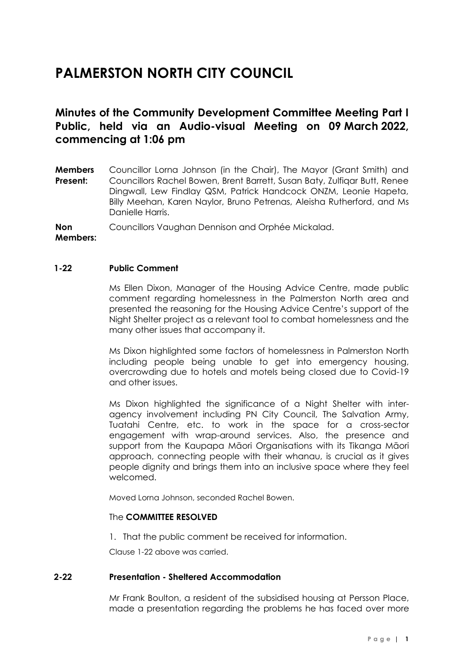# **PALMERSTON NORTH CITY COUNCIL**

# **Minutes of the Community Development Committee Meeting Part I Public, held via an Audio-visual Meeting on 09 March 2022, commencing at 1:06 pm**

**Members Present:** Councillor Lorna Johnson (in the Chair), The Mayor (Grant Smith) and Councillors Rachel Bowen, Brent Barrett, Susan Baty, Zulfiqar Butt, Renee Dingwall, Lew Findlay QSM, Patrick Handcock ONZM, Leonie Hapeta, Billy Meehan, Karen Naylor, Bruno Petrenas, Aleisha Rutherford, and Ms Danielle Harris.

**Non**  Councillors Vaughan Dennison and Orphée Mickalad.

**Members:**

# **1-22 Public Comment**

Ms Ellen Dixon, Manager of the Housing Advice Centre, made public comment regarding homelessness in the Palmerston North area and presented the reasoning for the Housing Advice Centre's support of the Night Shelter project as a relevant tool to combat homelessness and the many other issues that accompany it.

Ms Dixon highlighted some factors of homelessness in Palmerston North including people being unable to get into emergency housing, overcrowding due to hotels and motels being closed due to Covid-19 and other issues.

Ms Dixon highlighted the significance of a Night Shelter with interagency involvement including PN City Council, The Salvation Army, Tuatahi Centre, etc. to work in the space for a cross-sector engagement with wrap-around services. Also, the presence and support from the Kaupapa Māori Organisations with its Tikanga Māori approach, connecting people with their whanau, is crucial as it gives people dignity and brings them into an inclusive space where they feel welcomed.

Moved Lorna Johnson, seconded Rachel Bowen.

# The **COMMITTEE RESOLVED**

1. That the public comment be received for information.

Clause 1-22 above was carried.

# **2-22 Presentation - Sheltered Accommodation**

Mr Frank Boulton, a resident of the subsidised housing at Persson Place, made a presentation regarding the problems he has faced over more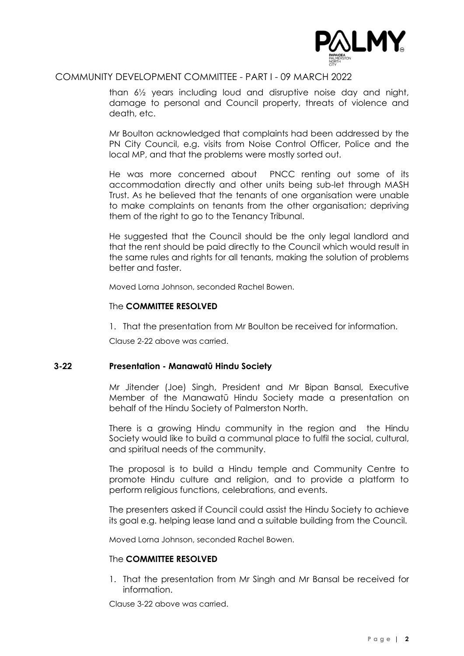

# COMMUNITY DEVELOPMENT COMMITTEE - PART I - 09 MARCH 2022

than 6½ years including loud and disruptive noise day and night, damage to personal and Council property, threats of violence and death, etc.

Mr Boulton acknowledged that complaints had been addressed by the PN City Council, e.g. visits from Noise Control Officer, Police and the local MP, and that the problems were mostly sorted out.

He was more concerned about PNCC renting out some of its accommodation directly and other units being sub-let through MASH Trust. As he believed that the tenants of one organisation were unable to make complaints on tenants from the other organisation; depriving them of the right to go to the Tenancy Tribunal.

He suggested that the Council should be the only legal landlord and that the rent should be paid directly to the Council which would result in the same rules and rights for all tenants, making the solution of problems better and faster.

Moved Lorna Johnson, seconded Rachel Bowen.

# The **COMMITTEE RESOLVED**

1. That the presentation from Mr Boulton be received for information.

Clause 2-22 above was carried.

# **3-22 Presentation - Manawatū Hindu Society**

Mr Jitender (Joe) Singh, President and Mr Bipan Bansal, Executive Member of the Manawatū Hindu Society made a presentation on behalf of the Hindu Society of Palmerston North.

There is a growing Hindu community in the region and the Hindu Society would like to build a communal place to fulfil the social, cultural, and spiritual needs of the community.

The proposal is to build a Hindu temple and Community Centre to promote Hindu culture and religion, and to provide a platform to perform religious functions, celebrations, and events.

The presenters asked if Council could assist the Hindu Society to achieve its goal e.g. helping lease land and a suitable building from the Council.

Moved Lorna Johnson, seconded Rachel Bowen.

# The **COMMITTEE RESOLVED**

1. That the presentation from Mr Singh and Mr Bansal be received for information.

Clause 3-22 above was carried.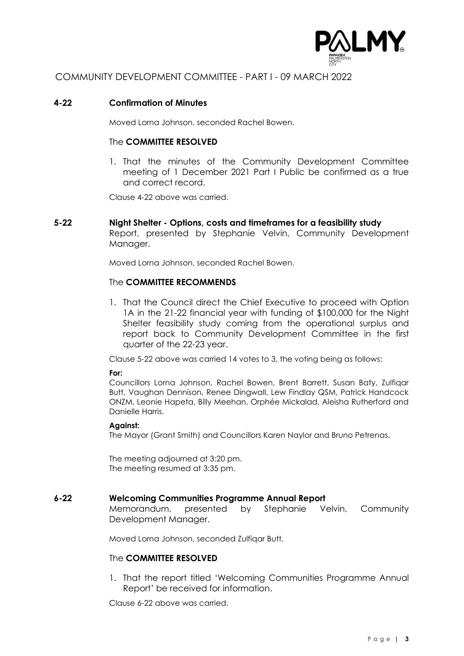

# COMMUNITY DEVELOPMENT COMMITTEE - PART I - 09 MARCH 2022

#### **4-22 Confirmation of Minutes**

Moved Lorna Johnson, seconded Rachel Bowen.

#### The **COMMITTEE RESOLVED**

1. That the minutes of the Community Development Committee meeting of 1 December 2021 Part I Public be confirmed as a true and correct record.

Clause 4-22 above was carried.

#### **5-22 Night Shelter - Options, costs and timeframes for a feasibility study**

Report, presented by Stephanie Velvin, Community Development Manager.

Moved Lorna Johnson, seconded Rachel Bowen.

#### The **COMMITTEE RECOMMENDS**

1. That the Council direct the Chief Executive to proceed with Option 1A in the 21-22 financial year with funding of \$100,000 for the Night Shelter feasibility study coming from the operational surplus and report back to Community Development Committee in the first quarter of the 22-23 year.

Clause 5-22 above was carried 14 votes to 3, the voting being as follows:

#### **For:**

Councillors Lorna Johnson, Rachel Bowen, Brent Barrett, Susan Baty, Zulfiqar Butt, Vaughan Dennison, Renee Dingwall, Lew Findlay QSM, Patrick Handcock ONZM, Leonie Hapeta, Billy Meehan, Orphée Mickalad, Aleisha Rutherford and Danielle Harris.

#### **Against:**

The Mayor (Grant Smith) and Councillors Karen Naylor and Bruno Petrenas.

The meeting adjourned at 3:20 pm. The meeting resumed at 3:35 pm.

#### **6-22 Welcoming Communities Programme Annual Report**

Memorandum, presented by Stephanie Velvin, Community Development Manager.

Moved Lorna Johnson, seconded Zulfiqar Butt.

# The **COMMITTEE RESOLVED**

1. That the report titled 'Welcoming Communities Programme Annual Report' be received for information.

Clause 6-22 above was carried.